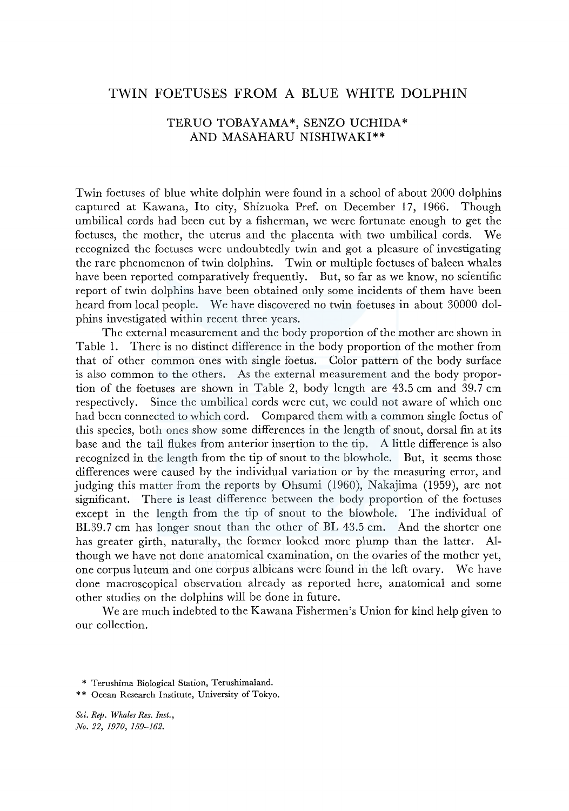## TWIN FOETUSES FROM A BLUE WHITE DOLPHIN

## TERUO TOBAYAMA\*, SENZO UCHIDA\* AND MASAHARU NISHIWAKI\*\*

Twin foetuses of blue white dolphin were found in a school of about 2000 dolphins captured at Kawana, Ito city, Shizuoka Pref. on December 17, 1966. Though umbilical cords had been cut by a fisherman, we were fortunate enough to get the foetuses, the mother, the uterus and the placenta with two umbilical cords. We recognized the foetuses were undoubtedly twin and got a pleasure of investigating the rare phenomenon of twin dolphins. Twin or multiple foetuses of baleen whales have been reported comparatively frequently. But, so far as we know, no scientific report of twin dolphins have been obtained only some incidents of them have been heard from local people. We have discovered no twin foetuses in about 30000 dolphins investigated within recent three years.

The external measurement and the body proportion of the mother are shown in Table 1. There is no distinct difference in the body proportion of the mother from that of other common ones with single foetus. Color pattern of the body surface is also common to the others. As the external measurement and the body proportion of the foetuses are shown in Table 2, body length are  $43.5 \text{ cm}$  and  $39.7 \text{ cm}$ respectively. Since the umbilical cords were cut, we could not aware of which one had been connected to which cord. Compared them with a common single foetus of this species, both ones show some differences in the length of snout, dorsal fin at its base and the tail flukes from anterior insertion to the tip. A little difference is also recognized in the length from the tip of snout to the blowhole. But, it seems those differences were caused by the individual variation or by the measuring error, and judging this matter from the reports by Ohsumi (1960), Nakajima (1959), are not significant. There is least difference between the body proportion of the foetuses except in the length from the tip of snout to the blowhole. The individual of BL39.7 cm has longer snout than the other of BL 43.5 cm. And the shorter one has greater girth, naturally, the former looked more plump than the latter. Although we have not done anatomical examination, on the ovaries of the mother yet, one corpus luteum and one corpus albicans were found in the left ovary. \Ve have done macroscopical observation already as reported here, anatomical and some other studies on the dolphins will be done in future.

\Ve are much indebted to the Kawana Fishermen's Union for kind help given to our collection.

*Sci. Rep. Whales Res. Inst., No. 22, 1970, 159-162.* 

<sup>\*</sup> Terushima Biological Station, Terushimaland.

<sup>\*\*</sup> Ocean Research Institute, University of Tokyo.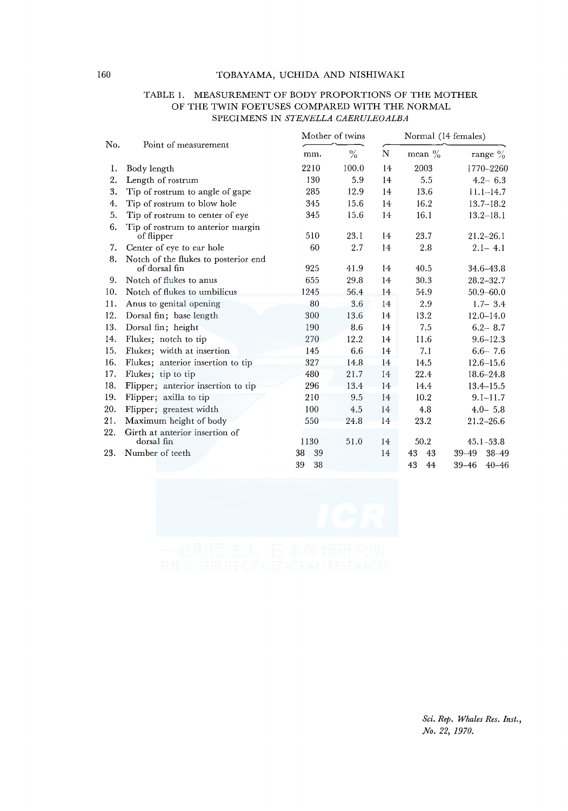#### TOBAYAMA, UCHIDA AND NISHIWAKI

|     | OF THE TWIN FOETUSES COMPARED WITH THE NORMAL<br>SPECIMENS IN STENELLA CAERULEOALBA |                 |       |                     |           |                        |  |  |
|-----|-------------------------------------------------------------------------------------|-----------------|-------|---------------------|-----------|------------------------|--|--|
| No. | Point of measurement                                                                | Mother of twins |       | Normal (14 females) |           |                        |  |  |
|     |                                                                                     | mm.             | $\%$  | N                   | mean $\%$ | range $\%$             |  |  |
| 1.  | Body length                                                                         | 2210            | 100.0 | 14                  | 2003      | 1770-2260              |  |  |
| 2.  | Length of rostrum                                                                   | 130             | 5.9   | 14                  | 5.5       | $4.2 - 6.3$            |  |  |
| 3.  | Tip of rostrum to angle of gape                                                     | 285             | 12.9  | 14                  | 13.6      | $11.1 - 14.7$          |  |  |
| 4.  | Tip of rostrum to blow hole                                                         | 345             | 15.6  | 14                  | 16.2      | $13.7 - 18.2$          |  |  |
| 5.  | Tip of rostrum to center of eye                                                     | 345             | 15.6  | 14                  | 16.1      | $13.2 - 18.1$          |  |  |
| 6.  | Tip of rostrum to anterior margin<br>of flipper                                     | 510             | 23.1  | 14                  | 23.7      | $21.2 - 26.1$          |  |  |
| 7.  | Center of eye to ear hole                                                           | 60              | 2.7   | 14                  | 2.8       | $2.1 - 4.1$            |  |  |
| 8.  | Notch of the flukes to posterior end<br>of dorsal fin                               | 925             | 41.9  | 14                  | 40.5      | 34.6-43.8              |  |  |
| 9.  | Notch of flukes to anus                                                             | 655             | 29.8  | 14                  | 30.3      | $28.2 - 32.7$          |  |  |
| 10. | Notch of flukes to umbilicus                                                        | 1245            | 56.4  | 14                  | 54.9      | $50.9 - 60.0$          |  |  |
| 11. | Anus to genital opening                                                             | 80              | 3.6   | 14                  | 2.9       | $1.7 - 3.4$            |  |  |
| 12. | Dorsal fin; base length                                                             | 300             | 13.6  | 14                  | 13.2      | $12.0 - 14.0$          |  |  |
| 13. | Dorsal fin; height                                                                  | 190             | 8.6   | 14                  | 7.5       | $6.2 - 8.7$            |  |  |
| 14. | Flukes; notch to tip                                                                | 270             | 12.2  | 14                  | 11.6      | $9.6 - 12.3$           |  |  |
| 15. | Flukes; width at insertion                                                          | 145             | 6.6   | 14                  | 7.1       | $6.6 - 7.6$            |  |  |
| 16. | Flukes; anterior insertion to tip                                                   | 327             | 14.8  | 14                  | 14.5      | $12.6 - 15.6$          |  |  |
| 17. | Flukes; tip to tip                                                                  | 480             | 21.7  | 14                  | 22.4      | 18.6-24.8              |  |  |
| 18. | Flipper; anterior insertion to tip                                                  | 296             | 13.4  | 14                  | 14.4      | $13.4 - 15.5$          |  |  |
| 19. | Flipper; axilla to tip                                                              | 210             | 9.5   | 14                  | 10.2      | $9.1 - 11.7$           |  |  |
| 20. | Flipper; greatest width                                                             | 100             | 4.5   | 14                  | 4.8       | $4.0 - 5.8$            |  |  |
| 21. | Maximum height of body                                                              | 550             | 24.8  | 14                  | 23.2      | $21.2 - 26.6$          |  |  |
| 22. | Girth at anterior insertion of<br>dorsal fin                                        | 1130            | 51.0  | 14                  | 50.2      | $45.1 - 53.8$          |  |  |
| 23. | Number of teeth                                                                     | 39<br>38        |       | 14                  | 43<br>43  | $38 - 49$<br>39-49     |  |  |
|     |                                                                                     | 39<br>38        |       |                     | 43<br>44  | $39 - 46$<br>$40 - 46$ |  |  |

# TABLE I. MEASUREMENT OF BODY PROPORTIONS OF THE MOTHER SPECIMENS IN *STENELLA CAERULEOALBA*

*Sci. Rep. Whales Res. Inst., No. 22, 1970.*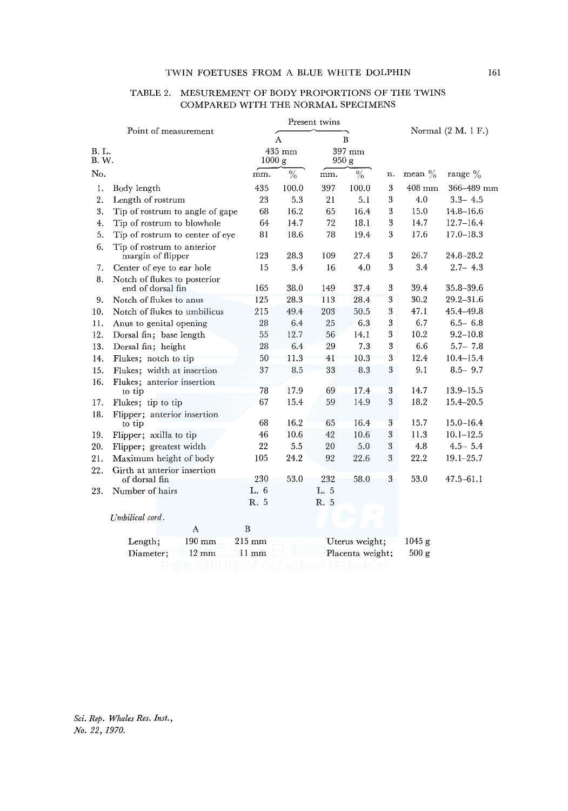#### TWIN FOETUSES FROM A BLUE WHITE DOLPHIN 161

|                | TABLE 2.<br>MESUREMENT OF BODY PROPORTIONS OF THE TWINS<br>COMPARED WITH THE NORMAL SPECIMENS |                  |                  |                 |       |    |                      |                |
|----------------|-----------------------------------------------------------------------------------------------|------------------|------------------|-----------------|-------|----|----------------------|----------------|
|                |                                                                                               |                  |                  | Present twins   |       |    |                      |                |
|                | Point of measurement                                                                          |                  | A                |                 | B     |    | Normal $(2 M. 1 F.)$ |                |
| B. L.<br>B. W. |                                                                                               | 435 mm<br>1000 g |                  | 397 mm<br>950 g |       |    |                      |                |
| No.            |                                                                                               | mm.              | $\frac{6}{6}$    | mm.             | $\%$  | n. | mean $\%$            | range $\%$     |
| 1.             | Body length                                                                                   | 435              | 100.0            | 397             | 100.0 | 3  | $408$ mm             | $366 - 489$ mm |
| 2.             | Length of rostrum                                                                             | 23               | 5.3              | 21              | 5.1   | 3  | 4.0                  | $3.3 - 4.5$    |
| 3.             | Tip of rostrum to angle of gape                                                               | 68               | 16.2             | 65              | 16.4  | 3  | 15.0                 | $14.8 - 16.6$  |
| 4.             | Tip of rostrum to blowhole                                                                    | 64               | 14.7             | 72              | 18.1  | 3  | 14.7                 | $12.7 - 16.4$  |
| 5.             | Tip of rostrum to center of eye                                                               | 81               | 18.6             | 78              | 19.4  | 3  | 17.6                 | $17.0 - 18.3$  |
| 6.             | Tip of rostrum to anterior<br>margin of flipper                                               | 123              | 28.3             | 109             | 27.4  | 3  | 26.7                 | 24.8-28.2      |
| 7.             | Center of eye to ear hole                                                                     | 15               | 3.4              | 16              | 4.0   | 3  | 3.4                  | $2.7 - 4.3$    |
| 8.             | Notch of flukes to posterior                                                                  |                  |                  |                 |       |    |                      |                |
|                | end of dorsal fin                                                                             | 165              | 38.0             | 149             | 37.4  | 3  | 39.4                 | 35.8–39.6      |
| 9.             | Notch of flukes to anus                                                                       | 125              | 28.3             | 113             | 28.4  | 3  | 30.2                 | $29.2 - 31.6$  |
| 10.            | Notch of flukes to umbilicus                                                                  | 215              | 49.4             | 203             | 50.5  | 3  | 47.1                 | 45.4-49.8      |
| 11.            | Anus to genital opening                                                                       | 28               | 6.4              | 25              | 6.3   | 3  | 6.7                  | $6.5 - 6.8$    |
| 12.            | Dorsal fin; base length                                                                       | 55               | 12.7             | 56              | 14.1  | 3  | 10.2                 | $9.2 - 10.8$   |
| 13.            | Dorsal fin; height                                                                            | 28               | 6.4              | 29              | 7.3   | 3  | 6.6                  | $5.7 - 7.8$    |
| 14.            | Flukes: notch to tip                                                                          | 50               | 11.3             | 41              | 10.3  | 3  | 12.4                 | $10.4 - 15.4$  |
| 15.            | Flukes; width at insertion                                                                    | 37               | 8.5              | 33              | 8.3   | 3  | 9.1                  | $8.5 - 9.7$    |
| 16.            | Flukes; anterior insertion                                                                    |                  |                  |                 |       |    |                      |                |
|                | to tip                                                                                        | 78               | 17.9             | 69              | 17.4  | 3  | 14.7                 | $13.9 - 15.5$  |
| 17.            | Flukes; tip to tip                                                                            | 67               | 15.4             | 59              | 14.9  | 3  | 18.2                 | $15.4 - 20.5$  |
| 18.            | Flipper; anterior insertion                                                                   |                  |                  |                 |       |    |                      |                |
|                | to tip                                                                                        | 68               | 16.2             | 65              | 16.4  | 3  | 15.7                 | $15.0 - 16.4$  |
| 19.            | Flipper; axilla to tip                                                                        | 46               | 10.6             | 42              | 10.6  | 3  | 11.3                 | $10.1 - 12.5$  |
| 20.            | Flipper; greatest width                                                                       | 22               | 5.5              | 20              | 5.0   | 3  | 4.8                  | $4.5 - 5.4$    |
| 21.            | Maximum height of body                                                                        | 105              | 24.2             | 92              | 22.6  | 3  | 22.2                 | $19.1 - 25.7$  |
| 22.            | Girth at anterior insertion<br>of dorsal fin                                                  | 230              | 53.0             | 232             | 58.0  | 3  | 53.0                 | $47.5 - 61.1$  |
| 23.            | Number of hairs                                                                               | L. 6             |                  | L. 5            |       |    |                      |                |
|                |                                                                                               | R. 5             |                  | R. 5            |       |    |                      |                |
|                | Umbilical cord.                                                                               |                  |                  |                 |       |    |                      |                |
|                | A                                                                                             | B                |                  |                 |       |    |                      |                |
|                | 190 mm<br>Length;                                                                             | $215 \text{ mm}$ | Uterus weight;   |                 |       |    | 1045g                |                |
|                | $12 \text{ mm}$<br>Diameter;                                                                  | $11 \text{ mm}$  | Placenta weight; |                 |       |    | 500 g                |                |
|                |                                                                                               |                  |                  |                 |       |    |                      |                |

#### TABLE 2. MESUREMENT OF BODY PROPORTIONS OF THE TWINS COMPARED WITH THE NORMAL SPECIMENS

*Sci. Rep. Whales Res. Inst., No. 22, 1970.*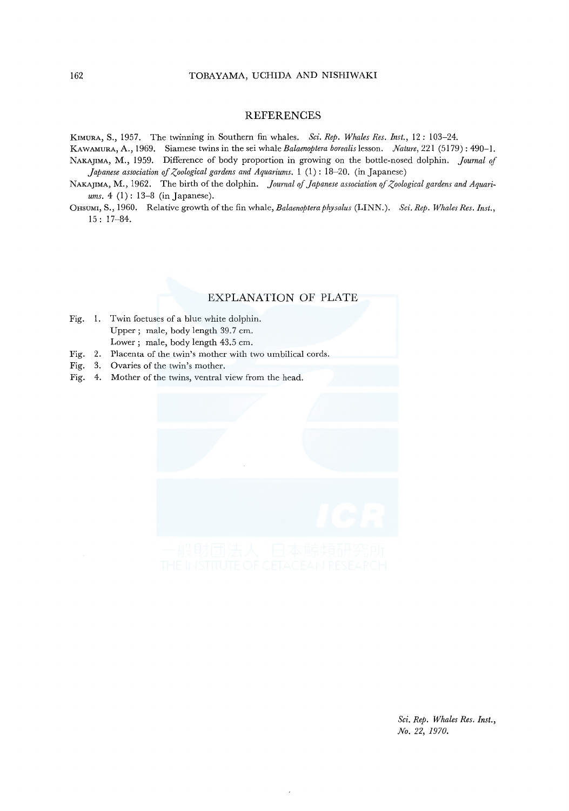#### **REFERENCES**

KIMURA, S., 1957. The twinning in Southern fin whales. *Sci. Rep. Whales Res. Inst.,* 12: 103-24.

KAWAMURA, A., 1969. Siamese twins in the sei whale *Balaenoptera borealis* lesson. *Nature,* 221 (5179): 490-1. NAKAJIMA, M., 1959. Difference of body proportion in growing on the bottle-nosed dolphin. *journal of Japanese association of Zoological gardens and Aquariums.* 1 (1): 18-20. (in Japanese)

- NAKAJIMA, M., 1962. The birth of the dolphin. *Journal of Japanese association of Zoological gardens and Aquariums.* 4 (1): 13-8 (in Japanese).
- OHsUMI, S., 1960. Relative growth of the fin whale, *Balaenoptera physalus* (LINN.). *Sci. Rep. Whales Res. Inst.,*  15: 17-84.

#### EXPLANATION OF PLATE

- Fig. I. Twin foetuses of a blue white dolphin. Upper; male, body length 39.7 cm. Lower ; male, body length 43.5 cm.
- Fig. 2. Placenta of the twin's mother with two umbilical cords.
- Fig. 3. Ovaries of the twin's mother.
- Fig. 4. Mother of the twins, ventral view from the head.



*Sci. Rep. Whales Res. Inst., No. 22, 1970.*